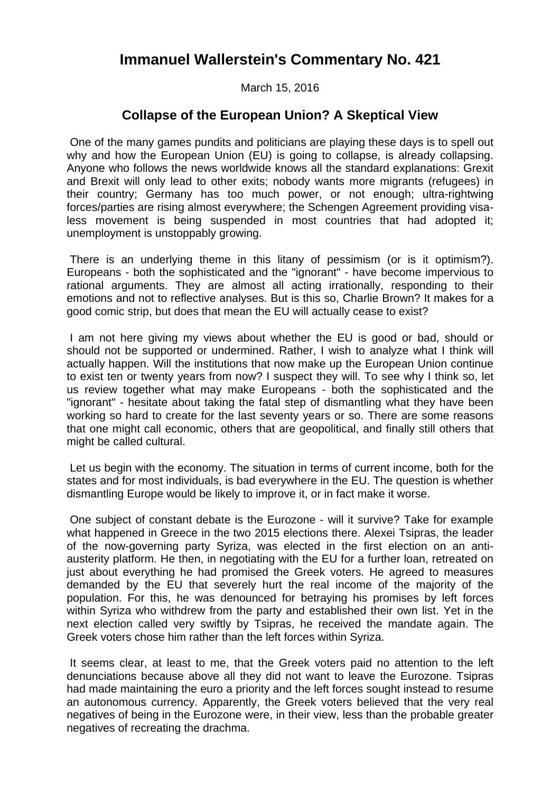## **Immanuel Wallerstein's Commentary No. 421**

March 15, 2016

## **Collapse of the European Union? A Skeptical View**

 One of the many games pundits and politicians are playing these days is to spell out why and how the European Union (EU) is going to collapse, is already collapsing. Anyone who follows the news worldwide knows all the standard explanations: Grexit and Brexit will only lead to other exits; nobody wants more migrants (refugees) in their country; Germany has too much power, or not enough; ultra-rightwing forces/parties are rising almost everywhere; the Schengen Agreement providing visaless movement is being suspended in most countries that had adopted it; unemployment is unstoppably growing.

 There is an underlying theme in this litany of pessimism (or is it optimism?). Europeans - both the sophisticated and the "ignorant" - have become impervious to rational arguments. They are almost all acting irrationally, responding to their emotions and not to reflective analyses. But is this so, Charlie Brown? It makes for a good comic strip, but does that mean the EU will actually cease to exist?

 I am not here giving my views about whether the EU is good or bad, should or should not be supported or undermined. Rather, I wish to analyze what I think will actually happen. Will the institutions that now make up the European Union continue to exist ten or twenty years from now? I suspect they will. To see why I think so, let us review together what may make Europeans - both the sophisticated and the "ignorant" - hesitate about taking the fatal step of dismantling what they have been working so hard to create for the last seventy years or so. There are some reasons that one might call economic, others that are geopolitical, and finally still others that might be called cultural.

 Let us begin with the economy. The situation in terms of current income, both for the states and for most individuals, is bad everywhere in the EU. The question is whether dismantling Europe would be likely to improve it, or in fact make it worse.

 One subject of constant debate is the Eurozone - will it survive? Take for example what happened in Greece in the two 2015 elections there. Alexei Tsipras, the leader of the now-governing party Syriza, was elected in the first election on an antiausterity platform. He then, in negotiating with the EU for a further loan, retreated on just about everything he had promised the Greek voters. He agreed to measures demanded by the EU that severely hurt the real income of the majority of the population. For this, he was denounced for betraying his promises by left forces within Syriza who withdrew from the party and established their own list. Yet in the next election called very swiftly by Tsipras, he received the mandate again. The Greek voters chose him rather than the left forces within Syriza.

 It seems clear, at least to me, that the Greek voters paid no attention to the left denunciations because above all they did not want to leave the Eurozone. Tsipras had made maintaining the euro a priority and the left forces sought instead to resume an autonomous currency. Apparently, the Greek voters believed that the very real negatives of being in the Eurozone were, in their view, less than the probable greater negatives of recreating the drachma.